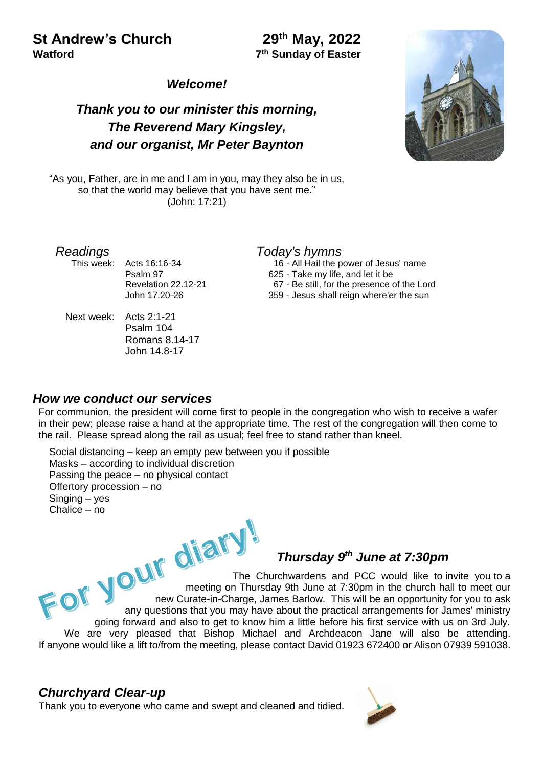## **St Andrew's Church Watford 7**

## **th May, 2022 th Sunday of Easter**

#### *Welcome!*

## *Thank you to our minister this morning, The Reverend Mary Kingsley, and our organist, Mr Peter Baynton*

"As you, Father, are in me and I am in you, may they also be in us, so that the world may believe that you have sent me." (John: 17:21)

This week: Acts 16:16-34 Psalm 97 Revelation 22.12-21 John 17.20-26

Next week: Acts 2:1-21 Psalm 104 Romans 8.14-17 John 14.8-17

#### *Readings Today's hymns*

 16 - All Hail the power of Jesus' name 625 - Take my life, and let it be 67 - Be still, for the presence of the Lord 359 - Jesus shall reign where'er the sun

#### *How we conduct our services*

For communion, the president will come first to people in the congregation who wish to receive a wafer in their pew; please raise a hand at the appropriate time. The rest of the congregation will then come to the rail. Please spread along the rail as usual; feel free to stand rather than kneel.

Social distancing – keep an empty pew between you if possible Masks – according to individual discretion Passing the peace – no physical contact Offertory procession – no Singing – yes Chalice – no

# *th June at 7:30pm*

For your diary The Churchwardens and PCC would like to invite you to a meeting on Thursday 9th June at 7:30pm in the church hall to meet our new Curate-in-Charge, James Barlow. This will be an opportunity for you to ask any questions that you may have about the practical arrangements for James' ministry going forward and also to get to know him a little before his first service with us on 3rd July. We are very pleased that Bishop Michael and Archdeacon Jane will also be attending. If anyone would like a lift to/from the meeting, please contact David 01923 672400 or Alison 07939 591038.

#### *Churchyard Clear-up*

Thank you to everyone who came and swept and cleaned and tidied.